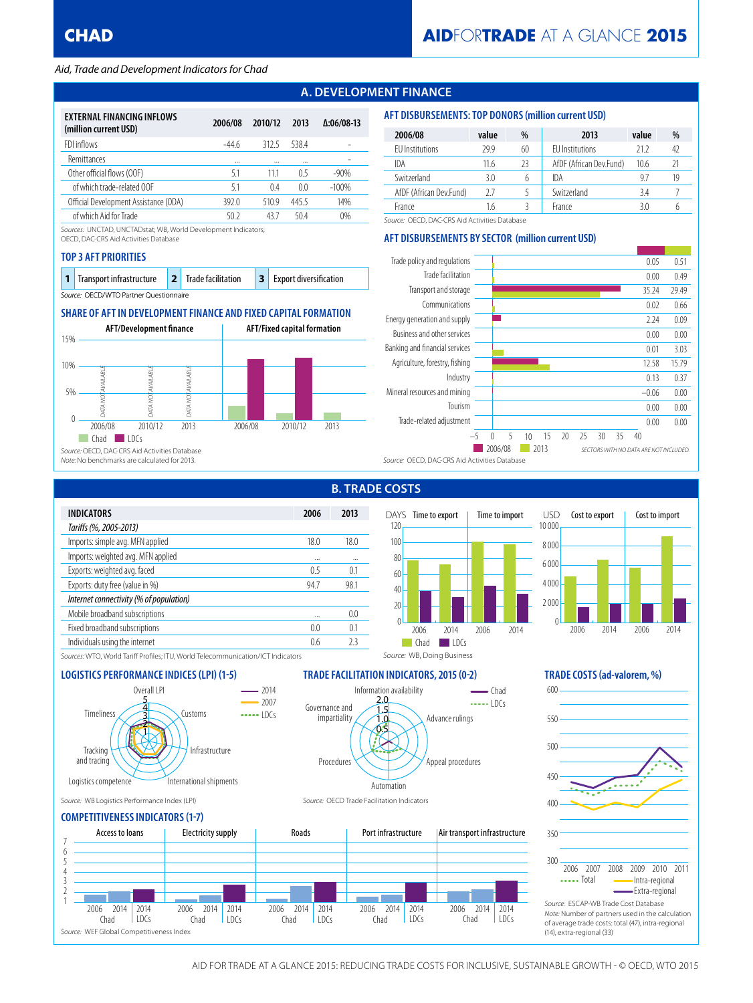# *Aid, Trade and Development Indicators for Chad*

# **A. DEVELOPMENT FINANCE**

| <b>EXTERNAL FINANCING INFLOWS</b><br>(million current USD) | 2006/08 | 2010/12 | 2013  | $\Delta:06/08-13$ |
|------------------------------------------------------------|---------|---------|-------|-------------------|
| FDI inflows                                                | -44 6   | 312.5   | 5384  |                   |
| <b>Remittances</b>                                         |         |         |       |                   |
| Other official flows (OOF)                                 | 51      | 11 1    | 05    | $-90%$            |
| of which trade-related OOF                                 | 51      | 0.4     | 0.0   | $-100%$           |
| Official Development Assistance (ODA)                      | 392.0   | 510.9   | 445.5 | 14%               |
| of which Aid for Trade                                     | 50.2    | 437     | 504   | 0%                |

*Sources:* UNCTAD, UNCTADstat; WB, World Development Indicators;

OECD, DAC-CRS Aid Activities Database

#### **TOP 3 AFT PRIORITIES**

| 1 Transport infrastructure             |  | 2 Trade facilitation |  | <b>3</b> Export diversification |  |  |
|----------------------------------------|--|----------------------|--|---------------------------------|--|--|
| Source: OECD/WTO Partner Questionnaire |  |                      |  |                                 |  |  |

# **SHARE OF AFT IN DEVELOPMENT FINANCE AND FIXED CAPITAL FORMATION**



| 2006/08                 | value | %  | 2013                    | value | %  |
|-------------------------|-------|----|-------------------------|-------|----|
| EU Institutions         | 29.9  | 60 | <b>FU</b> Institutions  | 21 2  | 42 |
| IDA                     | 11.6  | 23 | AfDF (African Dev.Fund) | 10.6  | 21 |
| Switzerland             | 3.0   | 6  | IDA                     | 97    | 19 |
| AfDF (African Dev.Fund) | 27    |    | Switzerland             | 3.4   |    |
| France                  | 1.6   |    | France                  | 3 በ   |    |

*Source:* OECD, DAC-CRS Aid Activities Database

## **AFT DISBURSEMENTS BY SECTOR (million current USD)**

**AFT DISBURSEMENTS: TOP DONORS (million current USD)**



| <b>INDICATORS</b>                       | 2006 | 2013     |  |
|-----------------------------------------|------|----------|--|
| Tariffs (%, 2005-2013)                  |      |          |  |
| Imports: simple avg. MFN applied        | 18.0 | 18.0     |  |
| Imports: weighted avg. MFN applied      |      | $\cdots$ |  |
| Exports: weighted avg. faced            | 0.5  | 0.1      |  |
| Exports: duty free (value in %)         | 94.7 | 98.1     |  |
| Internet connectivity (% of population) |      |          |  |
| Mobile broadband subscriptions          |      | 0.0      |  |
| Fixed broadband subscriptions           | 0.0  | 0.1      |  |
| Individuals using the internet          | 0.6  | 23       |  |
|                                         |      |          |  |

# **B. TRADE COSTS**

Information availability

0.5 1.0 1.5 2.0

'N

Automation



 $\overline{\phantom{a}}$  Chad  $\cdots$  lDCs

Advance rulings

Appeal procedures



*Sources:* WTO, World Tariff Profiles; ITU, World Telecommunication/ICT Indicators

### **LOGISTICS PERFORMANCE INDICES (LPI) (1-5) TRADE FACILITATION INDICATORS, 2015 (0-2) TRADE COSTS (ad-valorem, %)**



*Source:* WB Logistics Performance Index (LPI) *Source:* OECD Trade Facilitation Indicators

### **COMPETITIVENESS INDICATORS (1-7)**



Procedures

Governance and impartiality